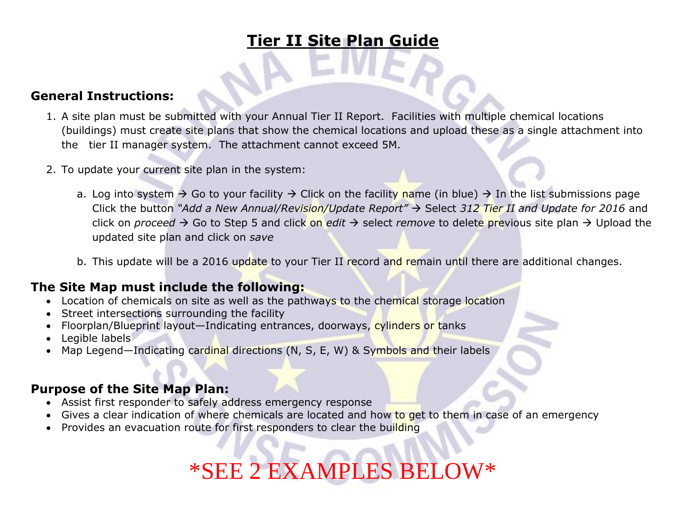# **Tier II Site Plan Guide**

#### **General Instructions:**

- 1. A site plan must be submitted with your Annual Tier II Report. Facilities with multiple chemical locations (buildings) must create site plans that show the chemical locations and upload these as a single attachment into the tier II manager system. The attachment cannot exceed 5M.
- 2. To update your current site plan in the system:
	- a. Log into system  $\rightarrow$  Go to your facility  $\rightarrow$  Click on the facility name (in blue)  $\rightarrow$  In the list submissions page Click the button "Add a New Annual/Revision/Update Report" → Select 312 Tier II and Update for 2016 and click on *proceed*  $\rightarrow$  Go to Step 5 and click on *edit*  $\rightarrow$  select *remove* to delete previous site plan  $\rightarrow$  Upload the updated site plan and click on *save*
	- b. This update will be a 2016 update to your Tier II record and remain until there are additional changes.

## **The Site Map must include the following:**

- Location of chemicals on site as well as the pathways to the chemical storage location
- Street intersections surrounding the facility
- Floorplan/Blueprint layout—Indicating entrances, doorways, cylinders or tanks
- Legible labels
- Map Legend—Indicating cardinal directions (N, S, E, W) & Symbols and their labels

### **Purpose of the Site Map Plan:**

- Assist first responder to safely address emergency response
- Gives a clear indication of where chemicals are located and how to get to them in case of an emergency
- Provides an evacuation route for first responders to clear the building

# \*SEE 2 EXAMPLES BELOW\*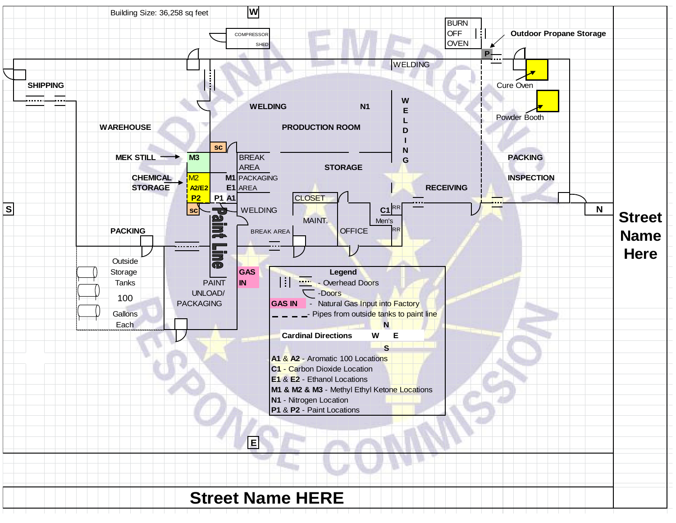